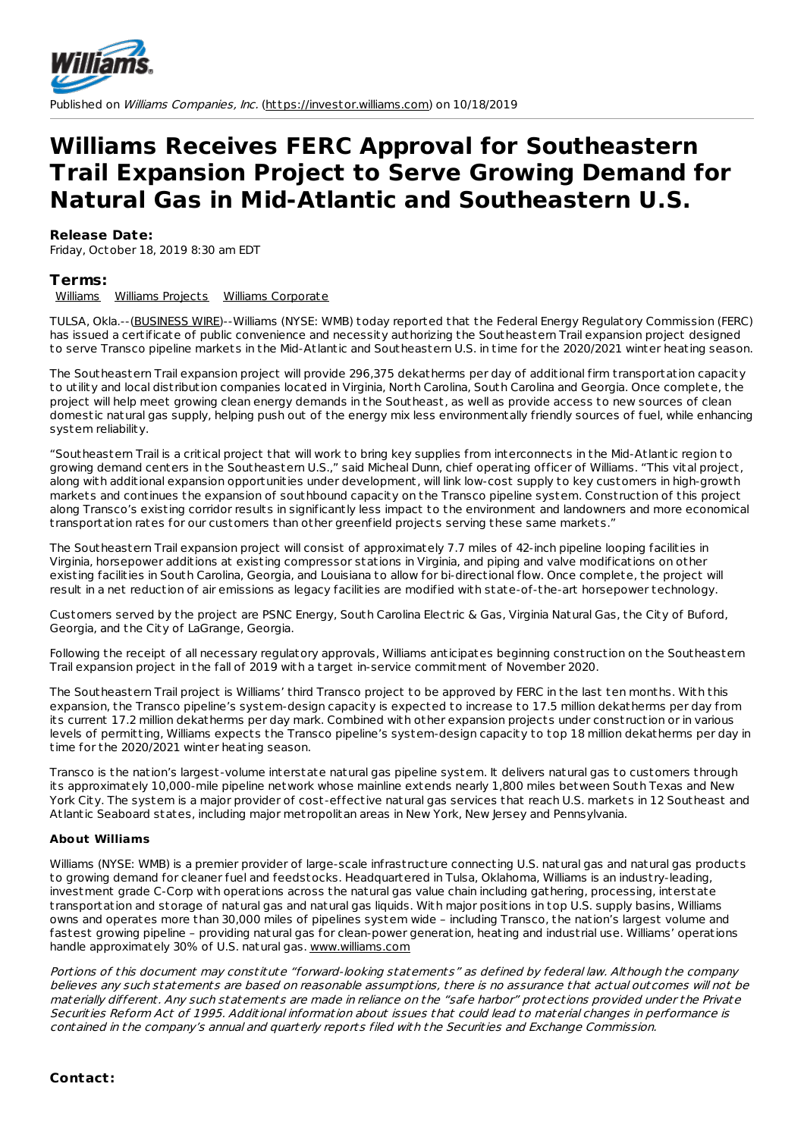

Published on Williams Companies, Inc. [\(https://investor.williams.com](https://investor.williams.com)) on 10/18/2019

## **Williams Receives FERC Approval for Southeastern Trail Expansion Project to Serve Growing Demand for Natural Gas in Mid-Atlantic and Southeastern U.S.**

## **Release Date:**

Friday, October 18, 2019 8:30 am EDT

## **Terms:**

[Williams](http://investor.williams.com/category/press-release-category/%255Bcatpath-raw%255D-11) Williams [Projects](http://investor.williams.com/category/press-release-category/%255Bcatpath-raw%255D-2) Williams [Corporate](http://investor.williams.com/category/press-release-category/%255Bcatpath-raw%255D-5)

TULSA, Okla.--[\(BUSINESS](http://www.businesswire.com) WIRE)--Williams (NYSE: WMB) today reported that the Federal Energy Regulatory Commission (FERC) has issued a certificate of public convenience and necessity authorizing the Southeastern Trail expansion project designed to serve Transco pipeline markets in the Mid-Atlantic and Southeastern U.S. in time for the 2020/2021 winter heating season.

The Southeastern Trail expansion project will provide 296,375 dekatherms per day of additional firm t ransportation capacity to utility and local dist ribution companies located in Virginia, North Carolina, South Carolina and Georgia. Once complete, the project will help meet growing clean energy demands in the Southeast, as well as provide access to new sources of clean domestic natural gas supply, helping push out of the energy mix less environmentally friendly sources of fuel, while enhancing system reliability.

"Southeastern Trail is a critical project that will work to bring key supplies from interconnects in the Mid-Atlantic region to growing demand centers in the Southeastern U.S.," said Micheal Dunn, chief operating officer of Williams. "This vital project, along with additional expansion opportunities under development, will link low-cost supply to key customers in high-growth markets and continues the expansion of southbound capacity on the Transco pipeline system. Const ruction of this project along Transco's existing corridor results in significantly less impact to the environment and landowners and more economical t ransportation rates for our customers than other greenfield projects serving these same markets."

The Southeastern Trail expansion project will consist of approximately 7.7 miles of 42-inch pipeline looping facilities in Virginia, horsepower additions at existing compressor stations in Virginia, and piping and valve modifications on other existing facilities in South Carolina, Georgia, and Louisiana to allow for bi-directional flow. Once complete, the project will result in a net reduction of air emissions as legacy facilities are modified with state-of-the-art horsepower technology.

Customers served by the project are PSNC Energy, South Carolina Elect ric & Gas, Virginia Natural Gas, the City of Buford, Georgia, and the City of LaGrange, Georgia.

Following the receipt of all necessary regulatory approvals, Williams anticipates beginning construction on the Southeastern Trail expansion project in the fall of 2019 with a target in-service commitment of November 2020.

The Southeastern Trail project is Williams' third Transco project to be approved by FERC in the last ten months. With this expansion, the Transco pipeline's system-design capacity is expected to increase to 17.5 million dekatherms per day from its current 17.2 million dekatherms per day mark. Combined with other expansion projects under const ruction or in various levels of permitting, Williams expects the Transco pipeline's system-design capacity to top 18 million dekatherms per day in time for the 2020/2021 winter heating season.

Transco is the nation's largest-volume interstate natural gas pipeline system. It delivers natural gas to customers through its approximately 10,000-mile pipeline network whose mainline extends nearly 1,800 miles between South Texas and New York City. The system is a major provider of cost-effective natural gas services that reach U.S. markets in 12 Southeast and Atlantic Seaboard states, including major met ropolitan areas in New York, New Jersey and Pennsylvania.

## **About Williams**

Williams (NYSE: WMB) is a premier provider of large-scale infrast ructure connecting U.S. natural gas and natural gas products to growing demand for cleaner fuel and feedstocks. Headquartered in Tulsa, Oklahoma, Williams is an industry-leading, investment grade C-Corp with operations across the natural gas value chain including gathering, processing, interstate t ransportation and storage of natural gas and natural gas liquids. With major positions in top U.S. supply basins, Williams owns and operates more than 30,000 miles of pipelines system wide – including Transco, the nation's largest volume and fastest growing pipeline – providing natural gas for clean-power generation, heating and indust rial use. Williams' operations handle approximately 30% of U.S. natural gas. [www.williams.com](https://www.williams.com/)

Portions of this document may constitute "forward-looking statements" as defined by federal law. Although the company believes any such statements are based on reasonable assumptions, there is no assurance that actual outcomes will not be materially different. Any such statements are made in reliance on the "safe harbor" protections provided under the Private Securities Reform Act of 1995. Additional information about issues that could lead to material changes in performance is contained in the company's annual and quarterly reports filed with the Securities and Exchange Commission.